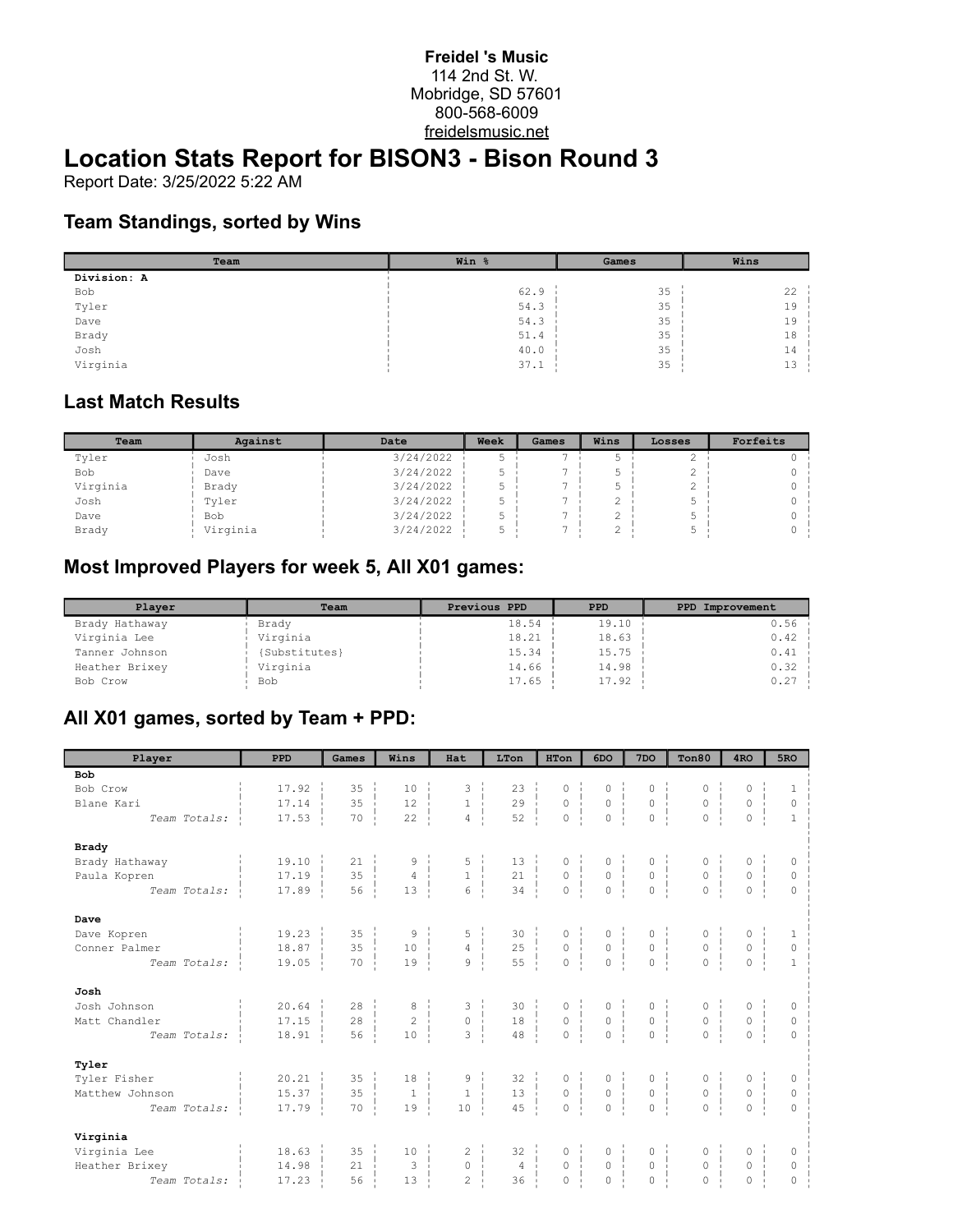#### **Freidel 's Music** 114 2nd St. W. Mobridge, SD 57601 800-568-6009 freidelsmusic.net

# **Location Stats Report for BISON3 - Bison Round 3**

Report Date: 3/25/2022 5:22 AM

### **Team Standings, sorted by Wins**

| Team        | Win % | Games | Wins |
|-------------|-------|-------|------|
| Division: A |       |       |      |
| Bob         | 62.9  | 35    | 22   |
| Tyler       | 54.3  | 35    | 19   |
| Dave        | 54.3  | 35    | 19   |
| Brady       | 51.4  | 35    | 18   |
| Josh        | 40.0  | 35    | 14   |
| Virginia    | 37.1  | 35    | 13   |

#### **Last Match Results**

| Team     | Against    | Date      | Week | Games | Wins | Losses | Forfeits |
|----------|------------|-----------|------|-------|------|--------|----------|
| Tyler    | Josh       | 3/24/2022 |      |       |      |        |          |
| Bob      | Dave       | 3/24/2022 |      |       |      |        |          |
| Virginia | Brady      | 3/24/2022 |      |       |      |        |          |
| Josh     | Tyler      | 3/24/2022 |      |       | ▵    |        |          |
| Dave     | <b>Bob</b> | 3/24/2022 |      |       |      |        |          |
| Brady    | Virginia   | 3/24/2022 |      |       |      |        |          |

## **Most Improved Players for week 5, All X01 games:**

| Plaver         | Team          | Previous PPD | <b>PPD</b> | PPD Improvement |
|----------------|---------------|--------------|------------|-----------------|
| Brady Hathaway | Brady         | 18.54        | 19.10      | 0.56            |
| Virginia Lee   | Virginia      | 18.21        | 18.63      | 0.42            |
| Tanner Johnson | {Substitutes} | 15.34        | 15.75      | 0.41            |
| Heather Brixey | Virginia      | 14.66        | 14.98      | 0.32            |
| Bob Crow       | Bob           | 17.65        | 17.92      | 0.27            |

## **All X01 games, sorted by Team + PPD:**

| Player                 | <b>PPD</b>            | Games              | Wins                | Hat                                   | LTon                                    | HTon                                                                                                                                        | 6DO                                                                                | 7 <sub>DO</sub>                                                           | Ton80                                                                | 4 <sub>RO</sub>                                        | 5 <sub>RO</sub> |
|------------------------|-----------------------|--------------------|---------------------|---------------------------------------|-----------------------------------------|---------------------------------------------------------------------------------------------------------------------------------------------|------------------------------------------------------------------------------------|---------------------------------------------------------------------------|----------------------------------------------------------------------|--------------------------------------------------------|-----------------|
| <b>Bob</b>             |                       |                    |                     |                                       |                                         |                                                                                                                                             |                                                                                    |                                                                           |                                                                      |                                                        |                 |
| Bob Crow               | 17.92                 | 35                 | 10                  | 3                                     | 23                                      | 0                                                                                                                                           | 0                                                                                  | $\circ$                                                                   | 0                                                                    | 0                                                      | 1               |
| Blane Kari             | 17.14                 | 35                 | 12                  | $\mathbf{1}$<br>47                    | 29                                      | $\begin{array}{c} \begin{array}{c} \text{1} \\ \text{1} \end{array} \\ \hline \end{array}$<br>$\overline{0}$<br>$\frac{1}{1}$               | $\frac{1}{1}$<br>$\begin{matrix} 0 &   &   \\ 0 &   &   \\ 0 &   &   \end{matrix}$ | $\circ$<br>÷                                                              | $\circ$                                                              | $\mathsf{O}\xspace$                                    | 0               |
| Team Totals:           | 17.53                 | 70                 | 22                  | $4 \frac{1}{2}$                       | 52                                      | $\overline{0}$                                                                                                                              |                                                                                    | $\circ$                                                                   | $0-1$                                                                | $\overline{0}$                                         | $\mathbf{1}$    |
| <b>Brady</b>           |                       |                    |                     |                                       |                                         |                                                                                                                                             |                                                                                    |                                                                           |                                                                      |                                                        |                 |
| Brady Hathaway         | 19.10                 | 21                 | 9                   | 5                                     | 13                                      | 0                                                                                                                                           |                                                                                    | 0                                                                         |                                                                      | 0                                                      | 0               |
| Paula Kopren           | 17.19                 | 35<br>$\mathbf{1}$ | $\overline{4}$      | $\begin{array}{c} 1 \\ 6 \end{array}$ | 21                                      | $\frac{1}{1}$<br>$\begin{matrix} 0 \\ 0 \end{matrix}$<br>$\frac{1}{1}$                                                                      | $\begin{array}{c} 0 \\ 0 \\ \vdots \\ 0 \end{array}$                               | $\overline{0}$<br>÷.                                                      | $0$<br>0                                                             | $\overline{0}$                                         | $\circ$         |
| Team Totals:           | 17.89                 | 56                 | 13                  |                                       | $\overline{34}$                         |                                                                                                                                             |                                                                                    | $\circ$                                                                   | $\overline{0}$                                                       | $\overline{0}$                                         | $\circ$         |
| Dave                   |                       |                    |                     |                                       |                                         |                                                                                                                                             |                                                                                    |                                                                           |                                                                      |                                                        |                 |
| Dave Kopren            | 19.23                 | 35                 | 9                   | 5                                     | 30                                      | 0                                                                                                                                           |                                                                                    |                                                                           |                                                                      |                                                        |                 |
| Conner Palmer          | 18.87                 | 35<br>$\mathbf{1}$ | 10                  | $\overline{4}$<br>-1                  | 25                                      | $\frac{1}{1}$<br>$\begin{matrix} 0 \\ 0 \end{matrix}$<br>$\frac{1}{1}$                                                                      | $\begin{array}{c}\n0 \\ 0 \\ \vdots \\ 0\n\end{array}$                             | $\begin{matrix} 0 \\ 0 \end{matrix}$<br>- 11                              | $\begin{matrix} 0 & \vdots \\ 0 & \vdots \\ 0 & \vdots \end{matrix}$ | $\begin{matrix} 0 & \vdots \\ 0 & \vdots \end{matrix}$ | $\mathbb O$     |
| Team Totals:           | 19.05                 | 70                 | 19                  | $\overline{9}$                        | 55                                      |                                                                                                                                             |                                                                                    | $\circ$                                                                   | $\overline{0}$                                                       | $\overline{O}$                                         | $\mathbf{1}$    |
| Josh                   |                       |                    |                     |                                       |                                         |                                                                                                                                             |                                                                                    |                                                                           |                                                                      |                                                        |                 |
| Josh Johnson           | $20.64$ $\frac{1}{2}$ | 28                 | 8                   | 3                                     |                                         |                                                                                                                                             |                                                                                    |                                                                           |                                                                      | 0                                                      | 0               |
| Matt Chandler          | 17.15<br>$\mathbf{I}$ | 28<br>÷            | $\overline{c}$      | 라<br>$\circ$                          | $\begin{array}{c} 30 \\ 18 \end{array}$ | $\begin{matrix} 0 & \cdot & \cdot \\ \cdot & \cdot & \cdot \\ \cdot & \cdot & \cdot \\ \cdot & \cdot & \cdot \end{matrix}$<br>$\frac{1}{1}$ | $\begin{matrix} 0 &   &   &   \\ 0 &   &   &   \\ 0 &   &   &   \end{matrix}$      | $\begin{matrix} 0 & \vdots \\ \vdots & \vdots \\ 0 & \vdots \end{matrix}$ | $\begin{matrix} 0 &   \\ 0 &   \end{matrix}$                         | $0 \quad  $                                            | $\circ$         |
| Team Totals:           | 18.91                 | 56                 | 10                  | $\overline{3}$                        | 48                                      |                                                                                                                                             |                                                                                    | $\circ$                                                                   | $\circ$                                                              | $\Omega$                                               | $\mathbf{0}$    |
| Tyler                  |                       |                    |                     |                                       |                                         |                                                                                                                                             |                                                                                    |                                                                           |                                                                      |                                                        |                 |
| Tyler Fisher           | 20.21                 | 35                 | 18                  |                                       | 32                                      |                                                                                                                                             |                                                                                    |                                                                           |                                                                      |                                                        | 0               |
| Matthew Johnson        | 15.37                 | 35<br>$\mathbf{I}$ | $\mathbf{1}$<br>- 1 | $\begin{matrix} 9 \\ 1 \end{matrix}$  | $32$<br>13<br>13<br>15                  | $\begin{matrix} 0 & \vdots \\ 0 & \vdots \end{matrix}$                                                                                      | $\begin{matrix} 0 & \vdots \\ 0 & \vdots \end{matrix}$                             | $\begin{matrix} 0 & \vdots \\ 0 & \vdots \end{matrix}$                    | $0 \quad   \quad$                                                    | $\begin{matrix} 0 & \vdots \\ 0 & \vdots \end{matrix}$ | $\circ$         |
| Team Totals:           | 17.79                 | 70                 | 19                  | 10                                    | 45                                      | $\overline{0}$                                                                                                                              | $\overline{0}$                                                                     | $\overline{0}$                                                            | $\overline{0}$                                                       | $\Omega$                                               | $\Omega$        |
| Virginia               |                       |                    |                     |                                       |                                         |                                                                                                                                             |                                                                                    |                                                                           |                                                                      |                                                        |                 |
| Virginia Lee           | $18.63 \pm$           | 35                 | 10                  | $\mathbf{2}^{\prime}$                 | 32                                      | 0                                                                                                                                           |                                                                                    |                                                                           |                                                                      | 0                                                      | 0               |
| Heather Brixey         | 14.98                 | 21                 | $\overline{3}$      | 0 <sup>1</sup>                        | $4^{-1}$                                | $\begin{matrix}0\\0\\1\end{matrix}$                                                                                                         | $\begin{matrix} 0 & \vdots \\ 0 & \vdots \end{matrix}$                             | $\begin{matrix} 0 & \vdots \\ 0 & \vdots \end{matrix}$                    | $\begin{matrix} 0 \\ 0 \end{matrix}$                                 | $0 - i$                                                | $\circ$         |
| Team Totals:<br>$\sim$ | 17.23                 | 56                 | 13                  | $\overline{c}$                        | 36                                      | $\overline{0}$                                                                                                                              | $\overline{0}$                                                                     | $\circ$                                                                   | 0                                                                    | $\circ$                                                | $\Omega$        |